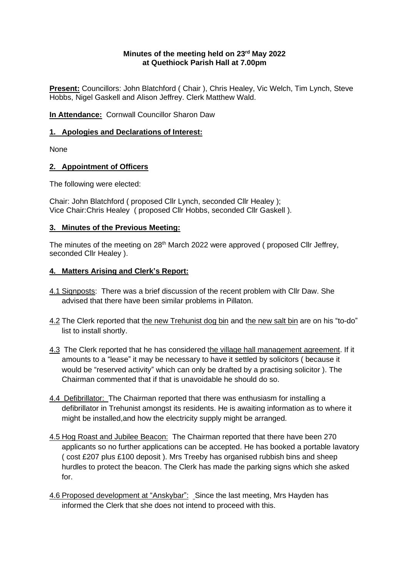### **Minutes of the meeting held on 23rd May 2022 at Quethiock Parish Hall at 7.00pm**

**Present:** Councillors: John Blatchford ( Chair ), Chris Healey, Vic Welch, Tim Lynch, Steve Hobbs, Nigel Gaskell and Alison Jeffrey. Clerk Matthew Wald.

**In Attendance:** Cornwall Councillor Sharon Daw

## **1. Apologies and Declarations of Interest:**

None

# **2. Appointment of Officers**

The following were elected:

Chair: John Blatchford ( proposed Cllr Lynch, seconded Cllr Healey ); Vice Chair:Chris Healey ( proposed Cllr Hobbs, seconded Cllr Gaskell ).

# **3. Minutes of the Previous Meeting:**

The minutes of the meeting on 28<sup>th</sup> March 2022 were approved ( proposed Cllr Jeffrey, seconded Cllr Healey ).

# **4. Matters Arising and Clerk's Report:**

- 4.1 Signposts: There was a brief discussion of the recent problem with Cllr Daw. She advised that there have been similar problems in Pillaton.
- 4.2 The Clerk reported that the new Trehunist dog bin and the new salt bin are on his "to-do" list to install shortly.
- 4.3 The Clerk reported that he has considered the village hall management agreement. If it amounts to a "lease" it may be necessary to have it settled by solicitors ( because it would be "reserved activity" which can only be drafted by a practising solicitor ). The Chairman commented that if that is unavoidable he should do so.
- 4.4 Defibrillator: The Chairman reported that there was enthusiasm for installing a defibrillator in Trehunist amongst its residents. He is awaiting information as to where it might be installed,and how the electricity supply might be arranged.
- 4.5 Hog Roast and Jubilee Beacon: The Chairman reported that there have been 270 applicants so no further applications can be accepted. He has booked a portable lavatory ( cost £207 plus £100 deposit ). Mrs Treeby has organised rubbish bins and sheep hurdles to protect the beacon. The Clerk has made the parking signs which she asked for.
- 4.6 Proposed development at "Anskybar": Since the last meeting, Mrs Hayden has informed the Clerk that she does not intend to proceed with this.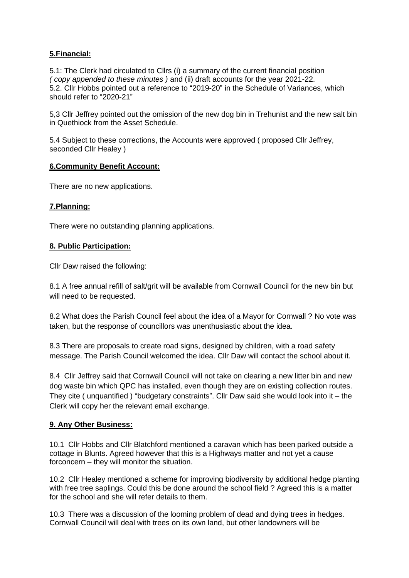# **5.Financial:**

5.1: The Clerk had circulated to Cllrs (i) a summary of the current financial position *( copy appended to these minutes )* and (ii) draft accounts for the year 2021-22. 5.2. Cllr Hobbs pointed out a reference to "2019-20" in the Schedule of Variances, which should refer to "2020-21"

5,3 Cllr Jeffrey pointed out the omission of the new dog bin in Trehunist and the new salt bin in Quethiock from the Asset Schedule.

5.4 Subject to these corrections, the Accounts were approved ( proposed Cllr Jeffrey, seconded Cllr Healey )

### **6.Community Benefit Account:**

There are no new applications.

# **7.Planning:**

There were no outstanding planning applications.

#### **8. Public Participation:**

Cllr Daw raised the following:

8.1 A free annual refill of salt/grit will be available from Cornwall Council for the new bin but will need to be requested.

8.2 What does the Parish Council feel about the idea of a Mayor for Cornwall ? No vote was taken, but the response of councillors was unenthusiastic about the idea.

8.3 There are proposals to create road signs, designed by children, with a road safety message. The Parish Council welcomed the idea. Cllr Daw will contact the school about it.

8.4 Cllr Jeffrey said that Cornwall Council will not take on clearing a new litter bin and new dog waste bin which QPC has installed, even though they are on existing collection routes. They cite ( unquantified ) "budgetary constraints". Cllr Daw said she would look into it – the Clerk will copy her the relevant email exchange.

### **9. Any Other Business:**

10.1 Cllr Hobbs and Cllr Blatchford mentioned a caravan which has been parked outside a cottage in Blunts. Agreed however that this is a Highways matter and not yet a cause forconcern – they will monitor the situation.

10.2 Cllr Healey mentioned a scheme for improving biodiversity by additional hedge planting with free tree saplings. Could this be done around the school field ? Agreed this is a matter for the school and she will refer details to them.

10.3 There was a discussion of the looming problem of dead and dying trees in hedges. Cornwall Council will deal with trees on its own land, but other landowners will be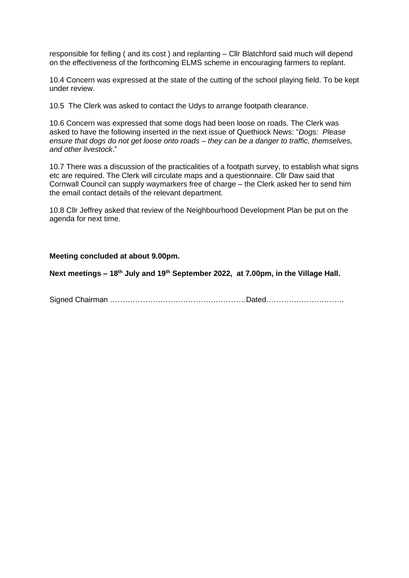responsible for felling ( and its cost ) and replanting – Cllr Blatchford said much will depend on the effectiveness of the forthcoming ELMS scheme in encouraging farmers to replant.

10.4 Concern was expressed at the state of the cutting of the school playing field. To be kept under review.

10.5 The Clerk was asked to contact the Udys to arrange footpath clearance.

10.6 Concern was expressed that some dogs had been loose on roads. The Clerk was asked to have the following inserted in the next issue of Quethiock News: "*Dogs: Please ensure that dogs do not get loose onto roads – they can be a danger to traffic, themselves, and other livestock*."

10.7 There was a discussion of the practicalities of a footpath survey, to establish what signs etc are required. The Clerk will circulate maps and a questionnaire. Cllr Daw said that Cornwall Council can supply waymarkers free of charge – the Clerk asked her to send him the email contact details of the relevant department.

10.8 Cllr Jeffrey asked that review of the Neighbourhood Development Plan be put on the agenda for next time.

#### **Meeting concluded at about 9.00pm.**

**Next meetings – 18th July and 19th September 2022, at 7.00pm, in the Village Hall.**

Signed Chairman ………………………………………………Dated………………………….